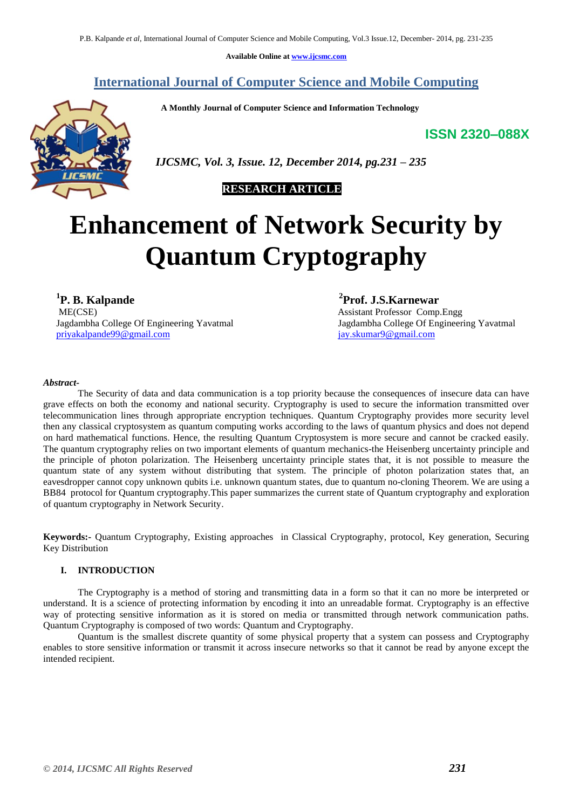**Available Online at [www.ijcsmc.com](http://www.ijcsmc.com/)**

# **International Journal of Computer Science and Mobile Computing**

 **A Monthly Journal of Computer Science and Information Technology**

# **ISSN 2320–088X**



 *IJCSMC, Vol. 3, Issue. 12, December 2014, pg.231 – 235*

# **RESEARCH ARTICLE**

# **Enhancement of Network Security by Quantum Cryptography**

**1 P. B. Kalpande**  ME(CSE) **Assistant Professor Comp.Engg** Assistant Professor Comp.Engg Jagdambha College Of Engineering Yavatmal<br>
privakalpande99@gmail.com<br>
jay.skumar9@gmail.com<br>
jay.skumar9@gmail.com priyakalpande $99@$ gmail.com

**2 Prof. J.S.Karnewar**

#### *Abstract-*

The Security of data and data communication is a top priority because the consequences of insecure data can have grave effects on both the economy and national security. Cryptography is used to secure the information transmitted over telecommunication lines through appropriate encryption techniques. Quantum Cryptography provides more security level then any classical cryptosystem as quantum computing works according to the laws of quantum physics and does not depend on hard mathematical functions. Hence, the resulting Quantum Cryptosystem is more secure and cannot be cracked easily. The quantum cryptography relies on two important elements of quantum mechanics-the Heisenberg uncertainty principle and the principle of photon polarization. The Heisenberg uncertainty principle states that, it is not possible to measure the quantum state of any system without distributing that system. The principle of photon polarization states that, an eavesdropper cannot copy unknown qubits i.e. unknown quantum states, due to quantum no-cloning Theorem. We are using a BB84 protocol for Quantum cryptography.This paper summarizes the current state of Quantum cryptography and exploration of quantum cryptography in Network Security.

**Keywords:-** Quantum Cryptography, Existing approaches in Classical Cryptography, protocol, Key generation, Securing Key Distribution

# **I. INTRODUCTION**

The Cryptography is a method of storing and transmitting data in a form so that it can no more be interpreted or understand. It is a science of protecting information by encoding it into an unreadable format. Cryptography is an effective way of protecting sensitive information as it is stored on media or transmitted through network communication paths. Quantum Cryptography is composed of two words: Quantum and Cryptography.

Quantum is the smallest discrete quantity of some physical property that a system can possess and Cryptography enables to store sensitive information or transmit it across insecure networks so that it cannot be read by anyone except the intended recipient.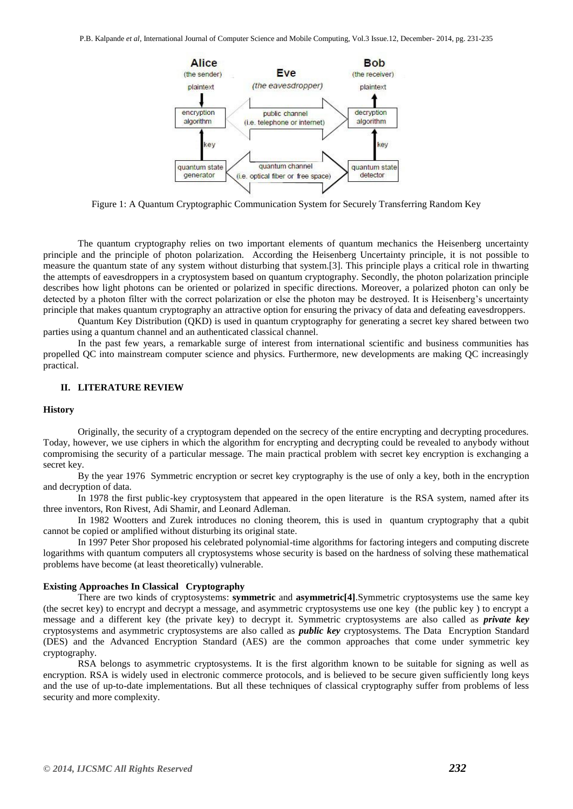

Figure 1: A Quantum Cryptographic Communication System for Securely Transferring Random Key

The quantum cryptography relies on two important elements of quantum mechanics the Heisenberg uncertainty principle and the principle of photon polarization. According the Heisenberg Uncertainty principle, it is not possible to measure the quantum state of any system without disturbing that system.[3]. This principle plays a critical role in thwarting the attempts of eavesdroppers in a cryptosystem based on quantum cryptography. Secondly, the photon polarization principle describes how light photons can be oriented or polarized in specific directions. Moreover, a polarized photon can only be detected by a photon filter with the correct polarization or else the photon may be destroyed. It is Heisenberg's uncertainty principle that makes quantum cryptography an attractive option for ensuring the privacy of data and defeating eavesdroppers.

Quantum Key Distribution (QKD) is used in quantum cryptography for generating a secret key shared between two parties using a quantum channel and an authenticated classical channel.

In the past few years, a remarkable surge of interest from international scientific and business communities has propelled QC into mainstream computer science and physics. Furthermore, new developments are making QC increasingly practical.

#### **II. LITERATURE REVIEW**

#### **History**

Originally, the security of a cryptogram depended on the secrecy of the entire encrypting and decrypting procedures. Today, however, we use ciphers in which the algorithm for encrypting and decrypting could be revealed to anybody without compromising the security of a particular message. The main practical problem with secret key encryption is exchanging a secret key.

By the year 1976 Symmetric encryption or secret key cryptography is the use of only a key, both in the encryption and decryption of data.

In 1978 the first public-key cryptosystem that appeared in the open literature is the RSA system, named after its three inventors, Ron Rivest, Adi Shamir, and Leonard Adleman.

In 1982 Wootters and Zurek introduces no cloning theorem, this is used in quantum cryptography that a qubit cannot be copied or amplified without disturbing its original state.

In 1997 Peter Shor proposed his celebrated polynomial-time algorithms for factoring integers and computing discrete logarithms with quantum computers all cryptosystems whose security is based on the hardness of solving these mathematical problems have become (at least theoretically) vulnerable.

#### **Existing Approaches In Classical Cryptography**

There are two kinds of cryptosystems: **symmetric** and **asymmetric[4]**.Symmetric cryptosystems use the same key (the secret key) to encrypt and decrypt a message, and asymmetric cryptosystems use one key (the public key ) to encrypt a message and a different key (the private key) to decrypt it. Symmetric cryptosystems are also called as *private key*  cryptosystems and asymmetric cryptosystems are also called as *public key* cryptosystems. The Data Encryption Standard (DES) and the Advanced Encryption Standard (AES) are the common approaches that come under symmetric key cryptography.

RSA belongs to asymmetric cryptosystems. It is the first algorithm known to be suitable for signing as well as encryption. RSA is widely used in electronic commerce protocols, and is believed to be secure given sufficiently long keys and the use of up-to-date implementations. But all these techniques of classical cryptography suffer from problems of less security and more complexity.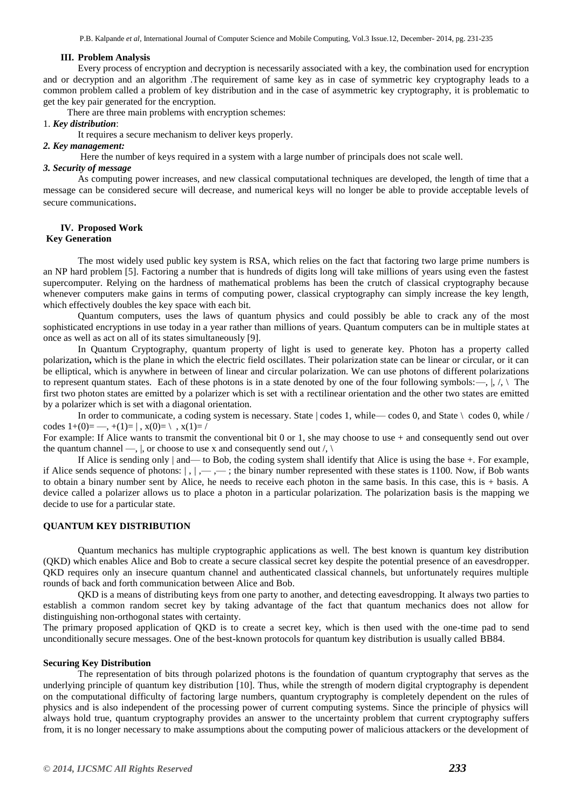P.B. Kalpande *et al*, International Journal of Computer Science and Mobile Computing, Vol.3 Issue.12, December- 2014, pg. 231-235

#### **III. Problem Analysis**

Every process of encryption and decryption is necessarily associated with a key, the combination used for encryption and or decryption and an algorithm .The requirement of same key as in case of symmetric key cryptography leads to a common problem called a problem of key distribution and in the case of asymmetric key cryptography, it is problematic to get the key pair generated for the encryption.

There are three main problems with encryption schemes:

#### 1. *Key distribution*:

It requires a secure mechanism to deliver keys properly.

#### *2. Key management:*

Here the number of keys required in a system with a large number of principals does not scale well.

#### *3. Security of message*

As computing power increases, and new classical computational techniques are developed, the length of time that a message can be considered secure will decrease, and numerical keys will no longer be able to provide acceptable levels of secure communications.

## **IV. Proposed Work**

## **Key Generation**

The most widely used public key system is RSA, which relies on the fact that factoring two large prime numbers is an NP hard problem [5]. Factoring a number that is hundreds of digits long will take millions of years using even the fastest supercomputer. Relying on the hardness of mathematical problems has been the crutch of classical cryptography because whenever computers make gains in terms of computing power, classical cryptography can simply increase the key length, which effectively doubles the key space with each bit.

Quantum computers, uses the laws of quantum physics and could possibly be able to crack any of the most sophisticated encryptions in use today in a year rather than millions of years. Quantum computers can be in multiple states at once as well as act on all of its states simultaneously [9].

In Quantum Cryptography, quantum property of light is used to generate key. Photon has a property called polarization**,** which is the plane in which the electric field oscillates. Their polarization state can be linear or circular, or it can be elliptical, which is anywhere in between of linear and circular polarization. We can use photons of different polarizations to represent quantum states. Each of these photons is in a state denoted by one of the four following symbols:—,  $|, \rangle$ . first two photon states are emitted by a polarizer which is set with a rectilinear orientation and the other two states are emitted by a polarizer which is set with a diagonal orientation.

In order to communicate, a coding system is necessary. State  $\vert$  codes 1, while—codes 0, and State  $\vert$  codes 0, while / codes  $1+(0) = -$ ,  $+(1)= |$ ,  $x(0)= \langle x(1)= \rangle$ 

For example: If Alice wants to transmit the conventional bit 0 or 1, she may choose to use + and consequently send out over the quantum channel —,  $\vert$ , or choose to use x and consequently send out  $\vert$ ,  $\vert$ 

If Alice is sending only  $\vert$  and— to Bob, the coding system shall identify that Alice is using the base  $+$ . For example, if Alice sends sequence of photons:  $|, |, \dots, \dots$ ; the binary number represented with these states is 1100. Now, if Bob wants to obtain a binary number sent by Alice, he needs to receive each photon in the same basis. In this case, this is + basis. A device called a polarizer allows us to place a photon in a particular polarization. The polarization basis is the mapping we decide to use for a particular state.

# **QUANTUM KEY DISTRIBUTION**

Quantum mechanics has multiple cryptographic applications as well. The best known is quantum key distribution (QKD) which enables Alice and Bob to create a secure classical secret key despite the potential presence of an eavesdropper. QKD requires only an insecure quantum channel and authenticated classical channels, but unfortunately requires multiple rounds of back and forth communication between Alice and Bob.

QKD is a means of distributing keys from one party to another, and detecting eavesdropping. It always two parties to establish a common random secret key by taking advantage of the fact that quantum mechanics does not allow for distinguishing non-orthogonal states with certainty.

The primary proposed application of QKD is to create a secret key, which is then used with the one-time pad to send unconditionally secure messages. One of the best-known protocols for quantum key distribution is usually called BB84.

#### **Securing Key Distribution**

The representation of bits through polarized photons is the foundation of quantum cryptography that serves as the underlying principle of quantum key distribution [10]. Thus, while the strength of modern digital cryptography is dependent on the computational difficulty of factoring large numbers, quantum cryptography is completely dependent on the rules of physics and is also independent of the processing power of current computing systems. Since the principle of physics will always hold true, quantum cryptography provides an answer to the uncertainty problem that current cryptography suffers from, it is no longer necessary to make assumptions about the computing power of malicious attackers or the development of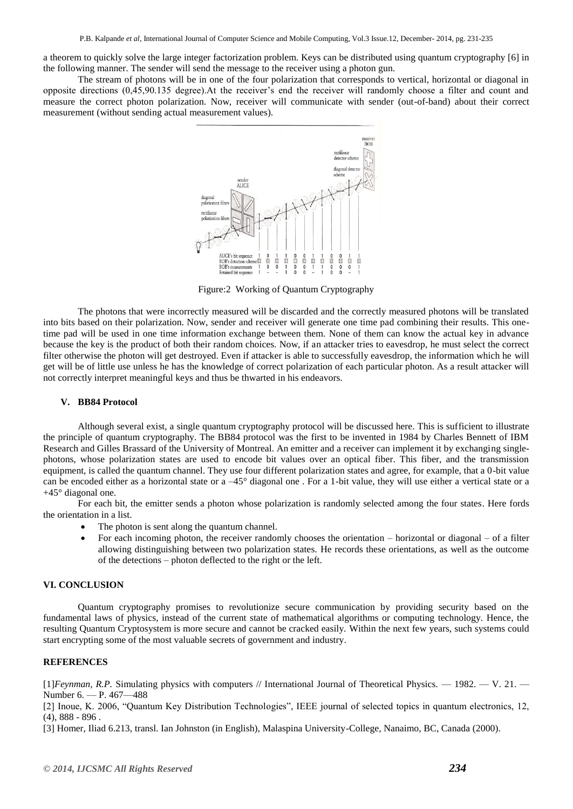a theorem to quickly solve the large integer factorization problem. Keys can be distributed using quantum cryptography [6] in the following manner. The sender will send the message to the receiver using a photon gun.

The stream of photons will be in one of the four polarization that corresponds to vertical, horizontal or diagonal in opposite directions (0,45,90.135 degree).At the receiver's end the receiver will randomly choose a filter and count and measure the correct photon polarization. Now, receiver will communicate with sender (out-of-band) about their correct measurement (without sending actual measurement values).



Figure:2 Working of Quantum Cryptography

The photons that were incorrectly measured will be discarded and the correctly measured photons will be translated into bits based on their polarization. Now, sender and receiver will generate one time pad combining their results. This onetime pad will be used in one time information exchange between them. None of them can know the actual key in advance because the key is the product of both their random choices. Now, if an attacker tries to eavesdrop, he must select the correct filter otherwise the photon will get destroyed. Even if attacker is able to successfully eavesdrop, the information which he will get will be of little use unless he has the knowledge of correct polarization of each particular photon. As a result attacker will not correctly interpret meaningful keys and thus be thwarted in his endeavors.

#### **V. BB84 Protocol**

Although several exist, a single quantum cryptography protocol will be discussed here. This is sufficient to illustrate the principle of quantum cryptography. The BB84 protocol was the first to be invented in 1984 by Charles Bennett of IBM Research and Gilles Brassard of the University of Montreal. An emitter and a receiver can implement it by exchanging singlephotons, whose polarization states are used to encode bit values over an optical fiber. This fiber, and the transmission equipment, is called the quantum channel. They use four different polarization states and agree, for example, that a 0-bit value can be encoded either as a horizontal state or a –45° diagonal one . For a 1-bit value, they will use either a vertical state or a +45° diagonal one.

For each bit, the emitter sends a photon whose polarization is randomly selected among the four states. Here fords the orientation in a list.

- The photon is sent along the quantum channel.
- For each incoming photon, the receiver randomly chooses the orientation horizontal or diagonal of a filter allowing distinguishing between two polarization states. He records these orientations, as well as the outcome of the detections – photon deflected to the right or the left.

#### **VI. CONCLUSION**

Quantum cryptography promises to revolutionize secure communication by providing security based on the fundamental laws of physics, instead of the current state of mathematical algorithms or computing technology. Hence, the resulting Quantum Cryptosystem is more secure and cannot be cracked easily. Within the next few years, such systems could start encrypting some of the most valuable secrets of government and industry.

### **REFERENCES**

[1]*Feynman, R.P.* Simulating physics with computers // International Journal of Theoretical Physics. — 1982. — V. 21. — Number 6. — P. 467—488

[2] Inoue, K. 2006, "Quantum Key Distribution Technologies", IEEE journal of selected topics in quantum electronics, 12, (4), 888 - 896 .

[3] Homer, Iliad 6.213, transl. Ian Johnston (in English), Malaspina University-College, Nanaimo, BC, Canada (2000).